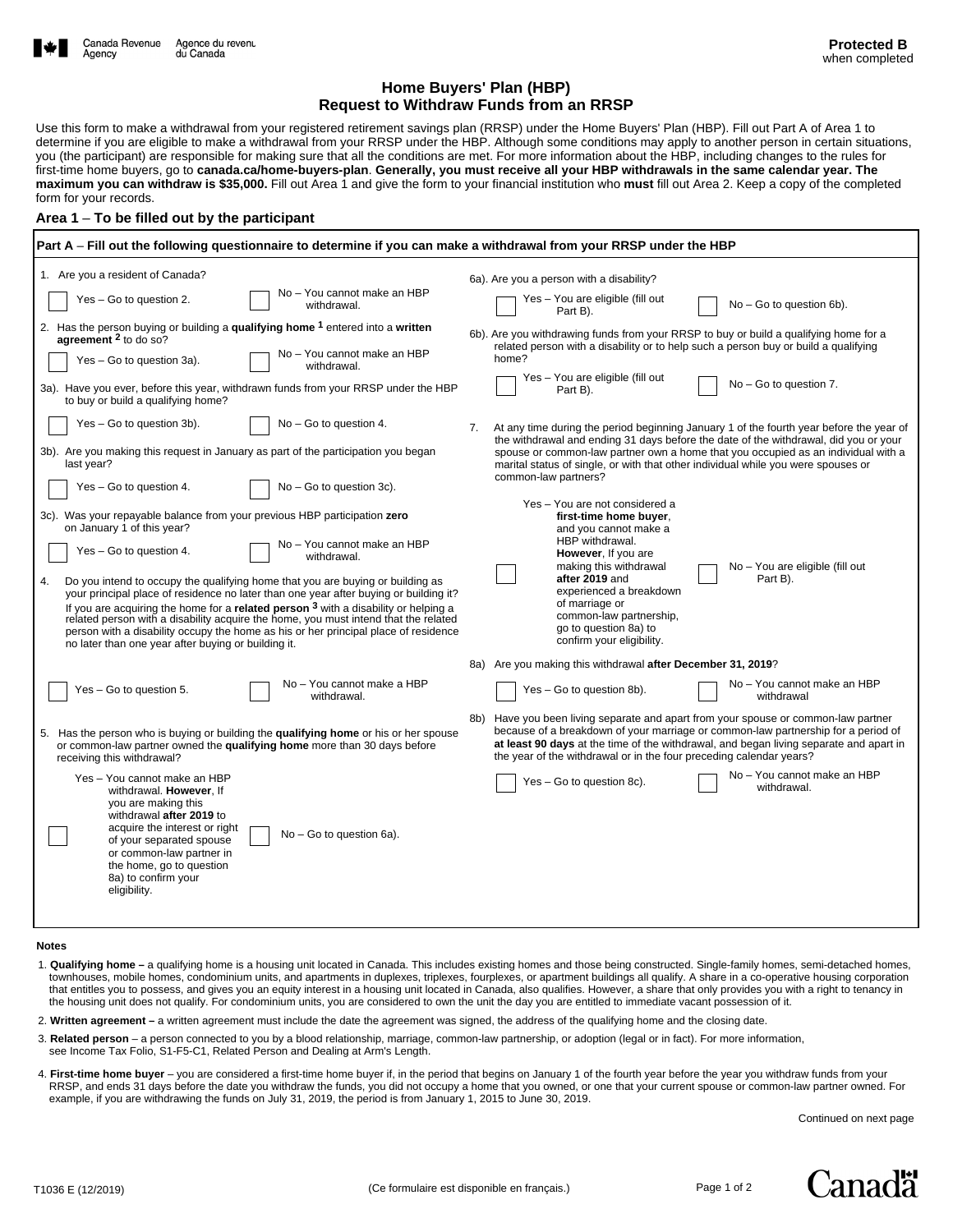## **Home Buyers' Plan (HBP) Request to Withdraw Funds from an RRSP**

Use this form to make a withdrawal from your registered retirement savings plan (RRSP) under the Home Buyers' Plan (HBP). Fill out Part A of Area 1 to determine if you are eligible to make a withdrawal from your RRSP under the HBP. Although some conditions may apply to another person in certain situations, you (the participant) are responsible for making sure that all the conditions are met. For more information about the HBP, including changes to the rules for first-time home buyers, go to **canada.ca/home-buyers-plan**. **Generally, you must receive all your HBP withdrawals in the same calendar year. The maximum you can withdraw is \$35,000.** Fill out Area 1 and give the form to your financial institution who **must** fill out Area 2. Keep a copy of the completed form for your records.

## **Area 1** – **To be filled out by the participant**

| Part A – Fill out the following questionnaire to determine if you can make a withdrawal from your RRSP under the HBP                                                                                                                                                                                                                                                                                                                                                                                                                                                                                                                                                                                 |                                                                                                                                                                                                                                                                                                                                                                            |  |  |  |  |  |  |  |  |
|------------------------------------------------------------------------------------------------------------------------------------------------------------------------------------------------------------------------------------------------------------------------------------------------------------------------------------------------------------------------------------------------------------------------------------------------------------------------------------------------------------------------------------------------------------------------------------------------------------------------------------------------------------------------------------------------------|----------------------------------------------------------------------------------------------------------------------------------------------------------------------------------------------------------------------------------------------------------------------------------------------------------------------------------------------------------------------------|--|--|--|--|--|--|--|--|
| 1. Are you a resident of Canada?                                                                                                                                                                                                                                                                                                                                                                                                                                                                                                                                                                                                                                                                     | 6a). Are you a person with a disability?                                                                                                                                                                                                                                                                                                                                   |  |  |  |  |  |  |  |  |
| No - You cannot make an HBP<br>Yes - Go to question 2.<br>withdrawal.                                                                                                                                                                                                                                                                                                                                                                                                                                                                                                                                                                                                                                | Yes - You are eligible (fill out<br>$No - Go$ to question $6b$ ).<br>Part B).                                                                                                                                                                                                                                                                                              |  |  |  |  |  |  |  |  |
| 2. Has the person buying or building a qualifying home <sup>1</sup> entered into a written<br>agreement <sup>2</sup> to do so?                                                                                                                                                                                                                                                                                                                                                                                                                                                                                                                                                                       | 6b). Are you withdrawing funds from your RRSP to buy or build a qualifying home for a<br>related person with a disability or to help such a person buy or build a qualifying                                                                                                                                                                                               |  |  |  |  |  |  |  |  |
| No - You cannot make an HBP<br>Yes - Go to question 3a).<br>withdrawal.                                                                                                                                                                                                                                                                                                                                                                                                                                                                                                                                                                                                                              | home?<br>Yes - You are eligible (fill out                                                                                                                                                                                                                                                                                                                                  |  |  |  |  |  |  |  |  |
| 3a). Have you ever, before this year, withdrawn funds from your RRSP under the HBP<br>to buy or build a qualifying home?                                                                                                                                                                                                                                                                                                                                                                                                                                                                                                                                                                             | $No - Go$ to question 7.<br>Part B).                                                                                                                                                                                                                                                                                                                                       |  |  |  |  |  |  |  |  |
| Yes - Go to question 3b).<br>$No - Go$ to question 4.                                                                                                                                                                                                                                                                                                                                                                                                                                                                                                                                                                                                                                                | At any time during the period beginning January 1 of the fourth year before the year of<br>7.<br>the withdrawal and ending 31 days before the date of the withdrawal, did you or your                                                                                                                                                                                      |  |  |  |  |  |  |  |  |
| 3b). Are you making this request in January as part of the participation you began<br>last year?                                                                                                                                                                                                                                                                                                                                                                                                                                                                                                                                                                                                     | spouse or common-law partner own a home that you occupied as an individual with a<br>marital status of single, or with that other individual while you were spouses or<br>common-law partners?                                                                                                                                                                             |  |  |  |  |  |  |  |  |
| Yes - Go to question 4.<br>No - Go to question 3c).                                                                                                                                                                                                                                                                                                                                                                                                                                                                                                                                                                                                                                                  |                                                                                                                                                                                                                                                                                                                                                                            |  |  |  |  |  |  |  |  |
| 3c). Was your repayable balance from your previous HBP participation zero<br>on January 1 of this year?<br>No - You cannot make an HBP<br>Yes - Go to question 4.<br>withdrawal.<br>4.<br>Do you intend to occupy the qualifying home that you are buying or building as<br>your principal place of residence no later than one year after buying or building it?<br>If you are acquiring the home for a <b>related person</b> 3 with a disability or helping a<br>related person with a disability acquire the home, you must intend that the related<br>person with a disability occupy the home as his or her principal place of residence<br>no later than one year after buying or building it. | Yes - You are not considered a<br>first-time home buyer.<br>and you cannot make a<br>HBP withdrawal.<br>However, If you are<br>making this withdrawal<br>No - You are eligible (fill out<br>after 2019 and<br>Part B).<br>experienced a breakdown<br>of marriage or<br>common-law partnership,<br>go to question 8a) to<br>confirm your eligibility.                       |  |  |  |  |  |  |  |  |
|                                                                                                                                                                                                                                                                                                                                                                                                                                                                                                                                                                                                                                                                                                      | 8a) Are you making this withdrawal after December 31, 2019?                                                                                                                                                                                                                                                                                                                |  |  |  |  |  |  |  |  |
| No - You cannot make a HBP<br>Yes - Go to question 5.<br>withdrawal.                                                                                                                                                                                                                                                                                                                                                                                                                                                                                                                                                                                                                                 | No - You cannot make an HBP<br>Yes - Go to question 8b).<br>withdrawal                                                                                                                                                                                                                                                                                                     |  |  |  |  |  |  |  |  |
| 5. Has the person who is buying or building the qualifying home or his or her spouse<br>or common-law partner owned the qualifying home more than 30 days before<br>receiving this withdrawal?<br>Yes - You cannot make an HBP                                                                                                                                                                                                                                                                                                                                                                                                                                                                       | Have you been living separate and apart from your spouse or common-law partner<br>8b)<br>because of a breakdown of your marriage or common-law partnership for a period of<br>at least 90 days at the time of the withdrawal, and began living separate and apart in<br>the year of the withdrawal or in the four preceding calendar years?<br>No - You cannot make an HBP |  |  |  |  |  |  |  |  |
| withdrawal. However, If<br>you are making this<br>withdrawal after 2019 to<br>acquire the interest or right<br>No - Go to question 6a).<br>of your separated spouse<br>or common-law partner in<br>the home, go to question<br>8a) to confirm your<br>eligibility.                                                                                                                                                                                                                                                                                                                                                                                                                                   | Yes - Go to question 8c).<br>withdrawal.                                                                                                                                                                                                                                                                                                                                   |  |  |  |  |  |  |  |  |

## **Notes**

- 1. **Qualifying home –** a qualifying home is a housing unit located in Canada. This includes existing homes and those being constructed. Single-family homes, semi-detached homes, townhouses, mobile homes, condominium units, and apartments in duplexes, triplexes, fourplexes, or apartment buildings all qualify. A share in a co-operative housing corporation that entitles you to possess, and gives you an equity interest in a housing unit located in Canada, also qualifies. However, a share that only provides you with a right to tenancy in the housing unit does not qualify. For condominium units, you are considered to own the unit the day you are entitled to immediate vacant possession of it.
- 2. **Written agreement** a written agreement must include the date the agreement was signed, the address of the qualifying home and the closing date.
- 3. **Related person** a person connected to you by a blood relationship, marriage, common-law partnership, or adoption (legal or in fact). For more information, see Income Tax Folio, S1-F5-C1, Related Person and Dealing at Arm's Length.
- 4. **First-time home buyer** you are considered a first-time home buyer if, in the period that begins on January 1 of the fourth year before the year you withdraw funds from your RRSP, and ends 31 days before the date you withdraw the funds, you did not occupy a home that you owned, or one that your current spouse or common-law partner owned. For example, if you are withdrawing the funds on July 31, 2019, the period is from January 1, 2015 to June 30, 2019.

Continued on next page

Canadä